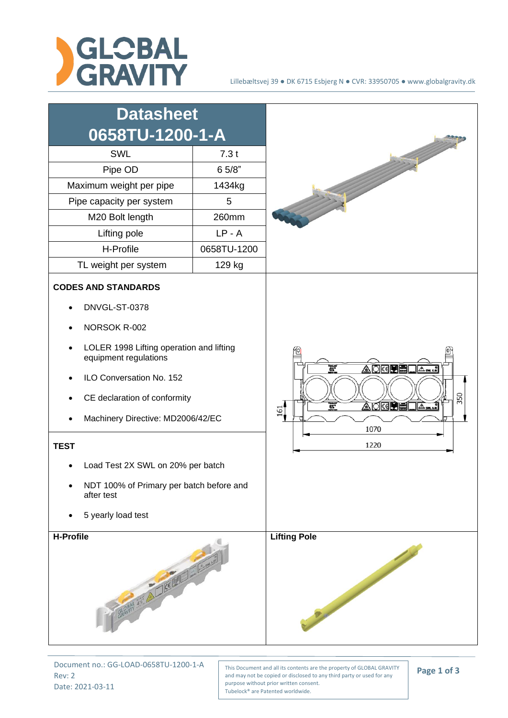



Document no.: GG-LOAD-0658TU-1200-1-A Rev: 2 Date: 2021-03-11

This Document and all its contents are the property of GLOBAL GRAVITY and may not be copied or disclosed to any third party or used for any purpose without prior written consent. Tubelock® are Patented worldwide.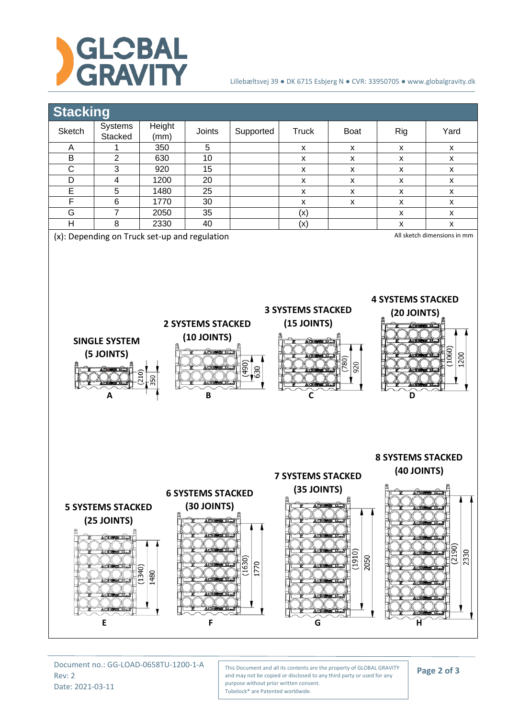

## Lillebæltsvej 39 ● DK 6715 Esbjerg N ● CVR: 33950705 ● www.globalgravity.dk



Document no.: GG-LOAD-0658TU-1200-1-A Rev: 2 Date: 2021-03-11

This Document and all its contents are the property of GLOBAL GRAVITY and may not be copied or disclosed to any third party or used for any purpose without prior written consent. Tubelock® are Patented worldwide.

**Page 2 of 3**